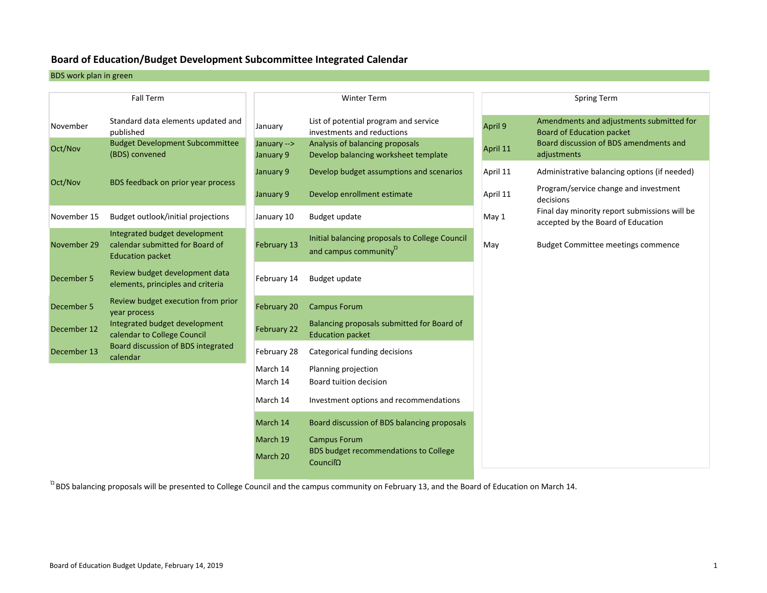#### **Board of Education/Budget Development Subcommittee Integrated Calendar**

BDS work plan in green

 $D\epsilon$ 

 $D\epsilon$ 

 $D\epsilon$ 

 $D\epsilon$ 

| <b>Fall Term</b> |                                                                                             |                          | <b>Winter Term</b>                                                                  |          | <b>Spring Term</b>                                                                  |
|------------------|---------------------------------------------------------------------------------------------|--------------------------|-------------------------------------------------------------------------------------|----------|-------------------------------------------------------------------------------------|
| November         | Standard data elements updated and<br>published                                             | January                  | List of potential program and service<br>investments and reductions                 | April 9  | Amendments and adjustments submitted for<br><b>Board of Education packet</b>        |
| Oct/Nov          | <b>Budget Development Subcommittee</b><br>(BDS) convened                                    | January --><br>January 9 | Analysis of balancing proposals<br>Develop balancing worksheet template             | April 11 | Board discussion of BDS amendments and<br>adjustments                               |
| Oct/Nov          | BDS feedback on prior year process                                                          | January 9                | Develop budget assumptions and scenarios                                            | April 11 | Administrative balancing options (if needed)                                        |
|                  |                                                                                             | January 9                | Develop enrollment estimate                                                         | April 11 | Program/service change and investment<br>decisions                                  |
| November 15      | Budget outlook/initial projections                                                          | January 10               | Budget update                                                                       | May 1    | Final day minority report submissions will be<br>accepted by the Board of Education |
| November 29      | Integrated budget development<br>calendar submitted for Board of<br><b>Education packet</b> | February 13              | Initial balancing proposals to College Council<br>and campus community <sup>2</sup> | May      | <b>Budget Committee meetings commence</b>                                           |
| December 5       | Review budget development data<br>elements, principles and criteria                         | February 14              | Budget update                                                                       |          |                                                                                     |
| December 5       | Review budget execution from prior<br>year process                                          | February 20              | <b>Campus Forum</b>                                                                 |          |                                                                                     |
| December 12      | Integrated budget development<br>calendar to College Council                                | February 22              | Balancing proposals submitted for Board of<br><b>Education packet</b>               |          |                                                                                     |
| December 13      | <b>Board discussion of BDS integrated</b><br>calendar                                       | February 28              | Categorical funding decisions                                                       |          |                                                                                     |
|                  |                                                                                             | March 14<br>March 14     | Planning projection<br>Board tuition decision                                       |          |                                                                                     |
|                  |                                                                                             | March 14                 | Investment options and recommendations                                              |          |                                                                                     |
|                  |                                                                                             | March 14                 | Board discussion of BDS balancing proposals                                         |          |                                                                                     |
|                  |                                                                                             | March 19<br>March 20     | <b>Campus Forum</b><br><b>BDS budget recommendations to College</b><br>Count        |          |                                                                                     |

 $^{\Omega}$ BDS balancing proposals will be presented to College Council and the campus community on February 13, and the Board of Education on March 14.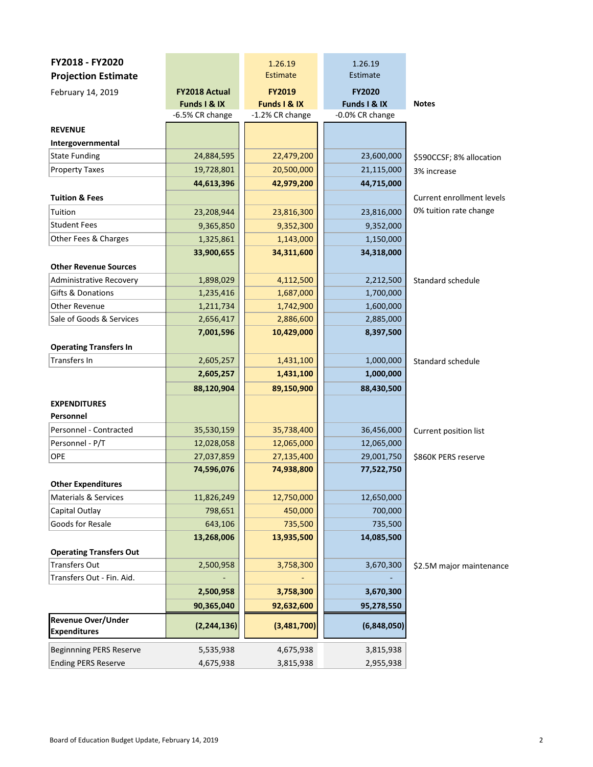| FY2018 - FY2020                           |                                 | 1.26.19                         | 1.26.19                         |                           |
|-------------------------------------------|---------------------------------|---------------------------------|---------------------------------|---------------------------|
| <b>Projection Estimate</b>                |                                 | <b>Estimate</b>                 | Estimate                        |                           |
| February 14, 2019                         | <b>FY2018 Actual</b>            | <b>FY2019</b>                   | <b>FY2020</b>                   |                           |
|                                           | Funds I & IX<br>-6.5% CR change | Funds I & IX<br>-1.2% CR change | Funds I & IX<br>-0.0% CR change | <b>Notes</b>              |
|                                           |                                 |                                 |                                 |                           |
| <b>REVENUE</b>                            |                                 |                                 |                                 |                           |
| Intergovernmental<br><b>State Funding</b> |                                 | 22,479,200                      |                                 |                           |
|                                           | 24,884,595                      |                                 | 23,600,000                      | \$590CCSF; 8% allocation  |
| <b>Property Taxes</b>                     | 19,728,801                      | 20,500,000                      | 21,115,000                      | 3% increase               |
|                                           | 44,613,396                      | 42,979,200                      | 44,715,000                      |                           |
| <b>Tuition &amp; Fees</b>                 |                                 |                                 |                                 | Current enrollment levels |
| Tuition                                   | 23,208,944                      | 23,816,300                      | 23,816,000                      | 0% tuition rate change    |
| <b>Student Fees</b>                       | 9,365,850                       | 9,352,300                       | 9,352,000                       |                           |
| Other Fees & Charges                      | 1,325,861                       | 1,143,000                       | 1,150,000                       |                           |
|                                           | 33,900,655                      | 34,311,600                      | 34,318,000                      |                           |
| <b>Other Revenue Sources</b>              |                                 |                                 |                                 |                           |
| Administrative Recovery                   | 1,898,029                       | 4,112,500                       | 2,212,500                       | Standard schedule         |
| Gifts & Donations                         | 1,235,416                       | 1,687,000                       | 1,700,000                       |                           |
| Other Revenue                             | 1,211,734                       | 1,742,900                       | 1,600,000                       |                           |
| Sale of Goods & Services                  | 2,656,417                       | 2,886,600                       | 2,885,000                       |                           |
|                                           | 7,001,596                       | 10,429,000                      | 8,397,500                       |                           |
| <b>Operating Transfers In</b>             |                                 |                                 |                                 |                           |
| Transfers In                              | 2,605,257                       | 1,431,100                       | 1,000,000                       | Standard schedule         |
|                                           | 2,605,257                       | 1,431,100                       | 1,000,000                       |                           |
|                                           | 88,120,904                      | 89,150,900                      | 88,430,500                      |                           |
| <b>EXPENDITURES</b>                       |                                 |                                 |                                 |                           |
| Personnel                                 |                                 |                                 |                                 |                           |
| Personnel - Contracted                    | 35,530,159                      | 35,738,400                      | 36,456,000                      | Current position list     |
| Personnel - P/T                           | 12,028,058                      | 12,065,000                      | 12,065,000                      |                           |
| OPE                                       | 27,037,859                      | 27,135,400                      | 29,001,750                      | \$860K PERS reserve       |
|                                           | 74,596,076                      | 74,938,800                      | 77,522,750                      |                           |
| <b>Other Expenditures</b>                 |                                 |                                 |                                 |                           |
| Materials & Services                      | 11,826,249                      | 12,750,000                      | 12,650,000                      |                           |
| Capital Outlay                            | 798,651                         | 450,000                         | 700,000                         |                           |
| Goods for Resale                          | 643,106                         | 735,500                         | 735,500                         |                           |
|                                           | 13,268,006                      | 13,935,500                      | 14,085,500                      |                           |
| <b>Operating Transfers Out</b>            |                                 |                                 |                                 |                           |
| Transfers Out                             | 2,500,958                       | 3,758,300                       | 3,670,300                       | \$2.5M major maintenance  |
| Transfers Out - Fin. Aid.                 |                                 |                                 |                                 |                           |
|                                           | 2,500,958                       | 3,758,300                       | 3,670,300                       |                           |
|                                           | 90,365,040                      | 92,632,600                      | 95,278,550                      |                           |
| <b>Revenue Over/Under</b>                 |                                 |                                 |                                 |                           |
| <b>Expenditures</b>                       | (2, 244, 136)                   | (3,481,700)                     | (6,848,050)                     |                           |
| <b>Beginnning PERS Reserve</b>            | 5,535,938                       | 4,675,938                       | 3,815,938                       |                           |
| <b>Ending PERS Reserve</b>                | 4,675,938                       | 3,815,938                       | 2,955,938                       |                           |
|                                           |                                 |                                 |                                 |                           |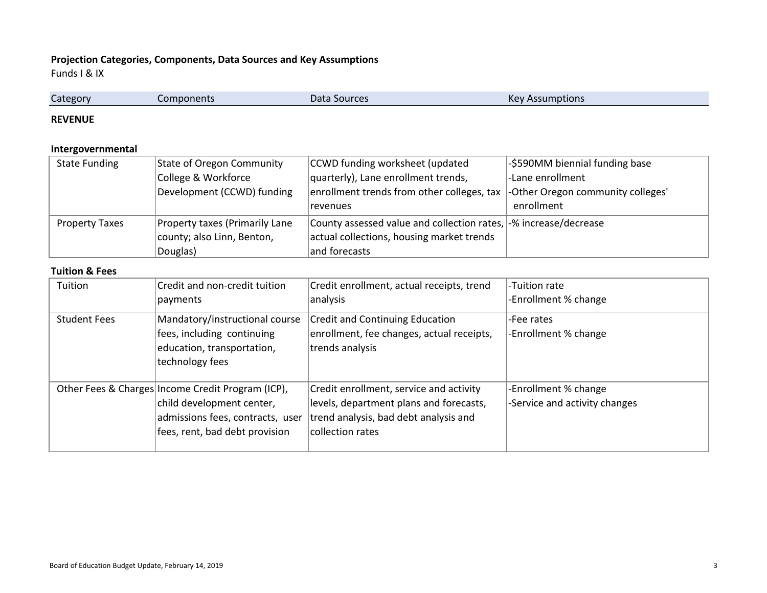# **Projection Categories, Components, Data Sources and Key Assumptions**

Funds I & IX

| -        |        |                                    | $\sim$                            |  |
|----------|--------|------------------------------------|-----------------------------------|--|
| category | onents | Data<br><b>AND INDICAL EXAMPLE</b> | nptions<br><u>asuutti </u><br>INC |  |
| . .      |        |                                    |                                   |  |

#### **REVENUE**

# **Intergovernmental**

| <b>State Funding</b>  | State of Oregon Community      | CCWD funding worksheet (updated                                  | -\$590MM biennial funding base    |
|-----------------------|--------------------------------|------------------------------------------------------------------|-----------------------------------|
|                       | College & Workforce            | quarterly), Lane enrollment trends,                              | -Lane enrollment                  |
|                       | Development (CCWD) funding     | enrollment trends from other colleges, tax                       | -Other Oregon community colleges' |
|                       |                                | revenues                                                         | enrollment                        |
| <b>Property Taxes</b> | Property taxes (Primarily Lane | County assessed value and collection rates, -% increase/decrease |                                   |
|                       | county; also Linn, Benton,     | actual collections, housing market trends                        |                                   |
|                       | Douglas)                       | and forecasts                                                    |                                   |

#### **Tuition & Fees**

| Tuition             | Credit and non-credit tuition<br>payments                                                                                                            | Credit enrollment, actual receipts, trend<br>analysis                                                                                           | -Tuition rate<br>-Enrollment % change                 |
|---------------------|------------------------------------------------------------------------------------------------------------------------------------------------------|-------------------------------------------------------------------------------------------------------------------------------------------------|-------------------------------------------------------|
| <b>Student Fees</b> | Mandatory/instructional course<br>fees, including continuing<br>education, transportation,<br>technology fees                                        | <b>Credit and Continuing Education</b><br>enrollment, fee changes, actual receipts,<br>trends analysis                                          | -Fee rates<br>-Enrollment % change                    |
|                     | Other Fees & Charges Income Credit Program (ICP),<br>child development center,<br>admissions fees, contracts, user<br>fees, rent, bad debt provision | Credit enrollment, service and activity<br>levels, department plans and forecasts,<br>trend analysis, bad debt analysis and<br>collection rates | -Enrollment % change<br>-Service and activity changes |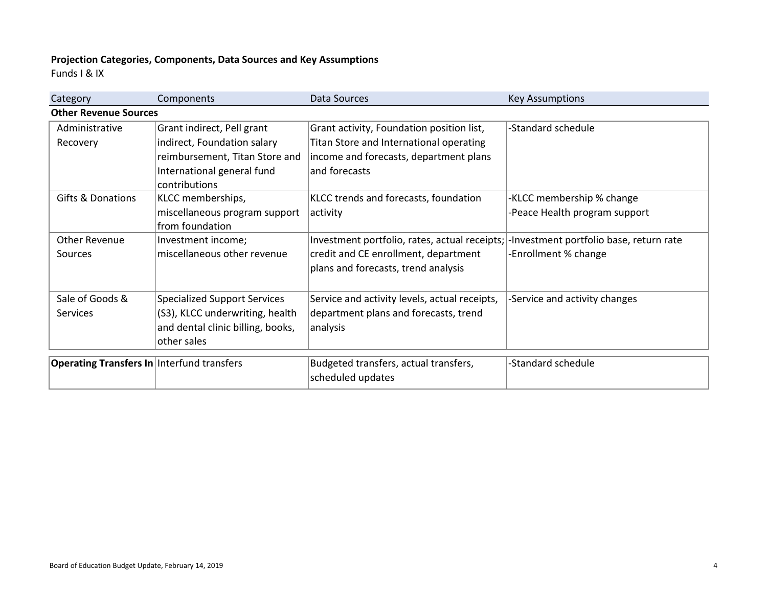# **Projection Categories, Components, Data Sources and Key Assumptions**

Funds I & IX

| Category<br>Components                            |                                             | Data Sources                                  | <b>Key Assumptions</b>                  |  |
|---------------------------------------------------|---------------------------------------------|-----------------------------------------------|-----------------------------------------|--|
| <b>Other Revenue Sources</b>                      |                                             |                                               |                                         |  |
| Administrative                                    | Grant indirect, Pell grant                  | Grant activity, Foundation position list,     | -Standard schedule                      |  |
| Recovery                                          | indirect, Foundation salary                 | Titan Store and International operating       |                                         |  |
|                                                   | reimbursement, Titan Store and              | income and forecasts, department plans        |                                         |  |
|                                                   | International general fund<br>contributions | and forecasts                                 |                                         |  |
| <b>Gifts &amp; Donations</b>                      | KLCC memberships,                           | KLCC trends and forecasts, foundation         | -KLCC membership % change               |  |
|                                                   | miscellaneous program support               | activity                                      | -Peace Health program support           |  |
|                                                   | from foundation                             |                                               |                                         |  |
| <b>Other Revenue</b>                              | Investment income;                          | Investment portfolio, rates, actual receipts; | -Investment portfolio base, return rate |  |
| Sources                                           | miscellaneous other revenue                 | credit and CE enrollment, department          | -Enrollment % change                    |  |
|                                                   |                                             | plans and forecasts, trend analysis           |                                         |  |
|                                                   |                                             |                                               |                                         |  |
| Sale of Goods &                                   | <b>Specialized Support Services</b>         | Service and activity levels, actual receipts, | -Service and activity changes           |  |
| <b>Services</b>                                   | (S3), KLCC underwriting, health             | department plans and forecasts, trend         |                                         |  |
|                                                   | and dental clinic billing, books,           | analysis                                      |                                         |  |
|                                                   | other sales                                 |                                               |                                         |  |
|                                                   |                                             |                                               |                                         |  |
| <b>Operating Transfers In Interfund transfers</b> |                                             | Budgeted transfers, actual transfers,         | -Standard schedule                      |  |
|                                                   |                                             | scheduled updates                             |                                         |  |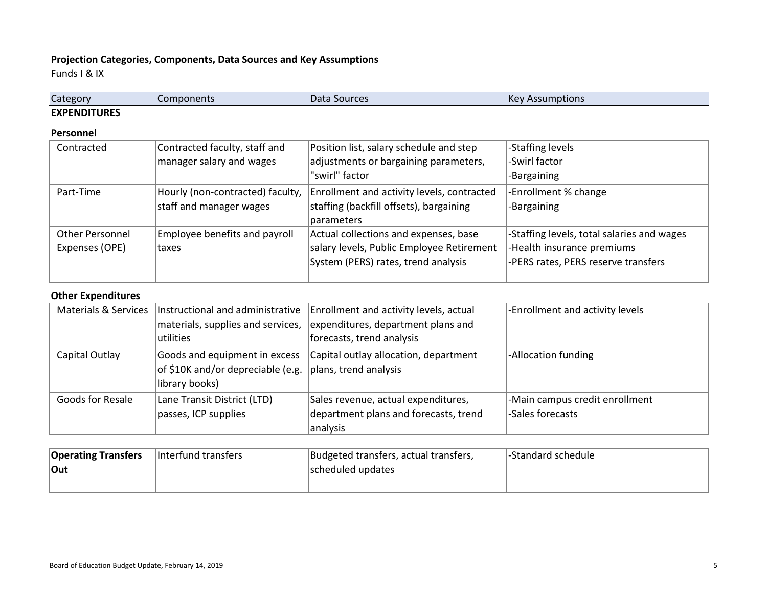# **Projection Categories, Components, Data Sources and Key Assumptions**

Funds I & IX

| Category            | Components | Data Sources | $\mathsf{Var}$<br>nptions<br>סטו |
|---------------------|------------|--------------|----------------------------------|
| <b>EXPENDITURES</b> |            |              |                                  |

#### **Personnel**

| Contracted             | Contracted faculty, staff and    | Position list, salary schedule and step    | -Staffing levels                           |
|------------------------|----------------------------------|--------------------------------------------|--------------------------------------------|
|                        | manager salary and wages         | adjustments or bargaining parameters,      | -Swirl factor                              |
|                        |                                  | "swirl" factor                             | -Bargaining                                |
| Part-Time              | Hourly (non-contracted) faculty, | Enrollment and activity levels, contracted | -Enrollment % change                       |
|                        | staff and manager wages          | staffing (backfill offsets), bargaining    | -Bargaining                                |
|                        |                                  | parameters                                 |                                            |
| <b>Other Personnel</b> | Employee benefits and payroll    | Actual collections and expenses, base      | -Staffing levels, total salaries and wages |
| Expenses (OPE)         | <b>taxes</b>                     | salary levels, Public Employee Retirement  | -Health insurance premiums                 |
|                        |                                  | System (PERS) rates, trend analysis        | -PERS rates, PERS reserve transfers        |
|                        |                                  |                                            |                                            |

### **Other Expenditures**

|                  | Materials & Services   Instructional and administrative | Enrollment and activity levels, actual | -Enrollment and activity levels |
|------------------|---------------------------------------------------------|----------------------------------------|---------------------------------|
|                  | materials, supplies and services,                       | expenditures, department plans and     |                                 |
|                  | utilities                                               | forecasts, trend analysis              |                                 |
| Capital Outlay   | Goods and equipment in excess                           | Capital outlay allocation, department  | -Allocation funding             |
|                  | of \$10K and/or depreciable (e.g.                       | plans, trend analysis                  |                                 |
|                  | library books)                                          |                                        |                                 |
| Goods for Resale | Lane Transit District (LTD)                             | Sales revenue, actual expenditures,    | -Main campus credit enrollment  |
|                  | passes, ICP supplies                                    | department plans and forecasts, trend  | -Sales forecasts                |
|                  |                                                         | analysis                               |                                 |

| <b>Operating Transfers</b> | Interfund transfers | Budgeted transfers, actual transfers, | l-Standard schedule |
|----------------------------|---------------------|---------------------------------------|---------------------|
| Out                        |                     | scheduled updates                     |                     |
|                            |                     |                                       |                     |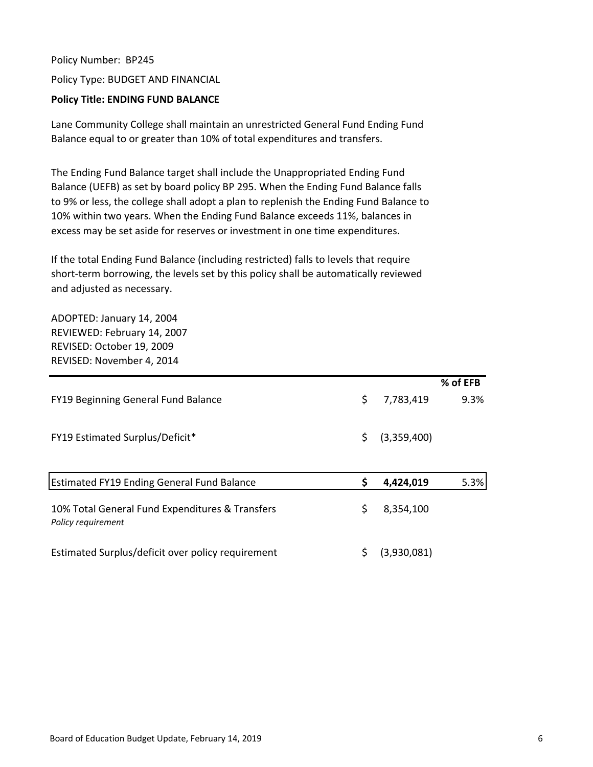Policy Number: BP245 Policy Type: BUDGET AND FINANCIAL

# **Policy Title: ENDING FUND BALANCE**

Lane Community College shall maintain an unrestricted General Fund Ending Fund Balance equal to or greater than 10% of total expenditures and transfers.

The Ending Fund Balance target shall include the Unappropriated Ending Fund Balance (UEFB) as set by board policy BP 295. When the Ending Fund Balance falls to 9% or less, the college shall adopt a plan to replenish the Ending Fund Balance to 10% within two years. When the Ending Fund Balance exceeds 11%, balances in excess may be set aside for reserves or investment in one time expenditures.

If the total Ending Fund Balance (including restricted) falls to levels that require short-term borrowing, the levels set by this policy shall be automatically reviewed and adjusted as necessary.

ADOPTED: January 14, 2004 REVIEWED: February 14, 2007 REVISED: October 19, 2009 REVISED: November 4, 2014

|                                                   |                   | % of EFB |
|---------------------------------------------------|-------------------|----------|
| FY19 Beginning General Fund Balance               | \$<br>7,783,419   | 9.3%     |
|                                                   |                   |          |
| <b>FY19 Estimated Surplus/Deficit*</b>            | \$<br>(3,359,400) |          |
|                                                   |                   |          |
|                                                   |                   |          |
| <b>Estimated FY19 Ending General Fund Balance</b> | \$<br>4,424,019   | 5.3%     |
|                                                   |                   |          |
| 10% Total General Fund Expenditures & Transfers   | \$<br>8,354,100   |          |
| Policy requirement                                |                   |          |
| Estimated Surplus/deficit over policy requirement | \$<br>(3,930,081) |          |
|                                                   |                   |          |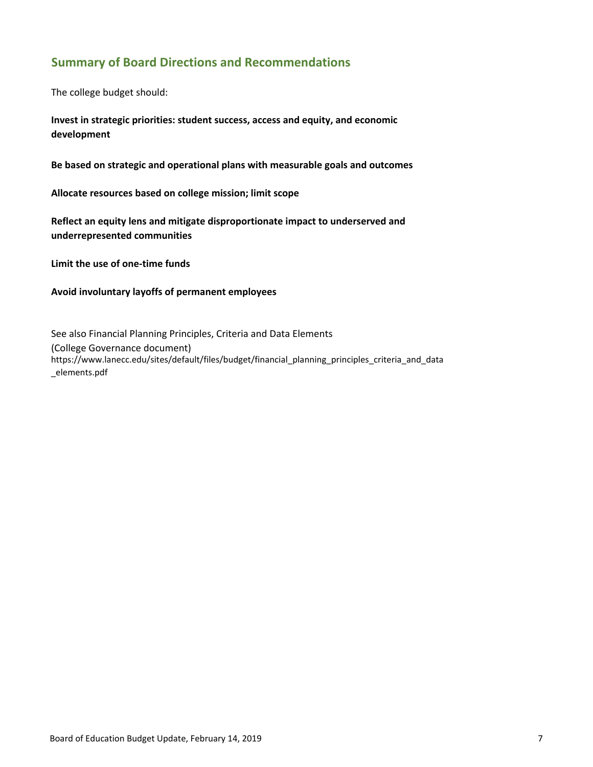# **Summary of Board Directions and Recommendations**

The college budget should:

**Invest in strategic priorities: student success, access and equity, and economic development**

**Be based on strategic and operational plans with measurable goals and outcomes**

**Allocate resources based on college mission; limit scope**

**Reflect an equity lens and mitigate disproportionate impact to underserved and underrepresented communities**

**Limit the use of one‐time funds**

### **Avoid involuntary layoffs of permanent employees**

See also Financial Planning Principles, Criteria and Data Elements (College Governance document) https://www.lanecc.edu/sites/default/files/budget/financial\_planning\_principles\_criteria\_and\_data \_elements.pdf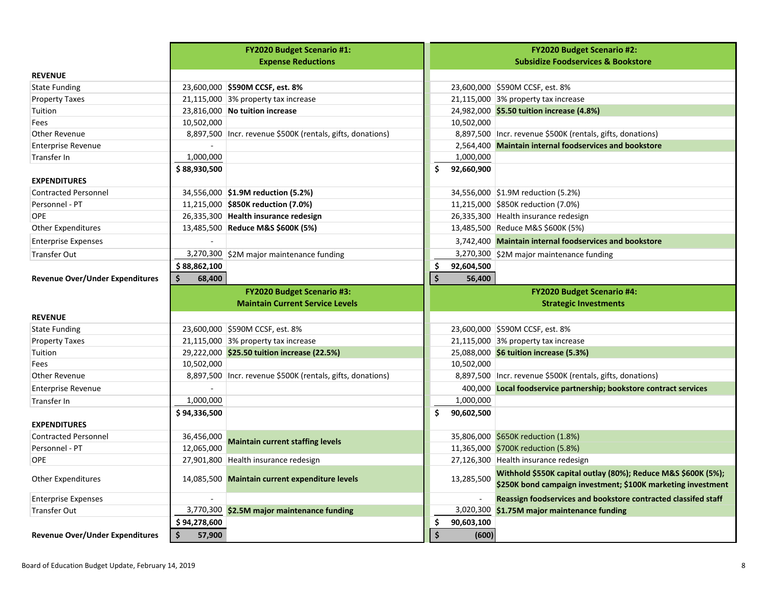|                                        |              | <b>FY2020 Budget Scenario #1:</b>                            |                     |            | <b>FY2020 Budget Scenario #2:</b>                                                                                             |
|----------------------------------------|--------------|--------------------------------------------------------------|---------------------|------------|-------------------------------------------------------------------------------------------------------------------------------|
|                                        |              | <b>Expense Reductions</b>                                    |                     |            | <b>Subsidize Foodservices &amp; Bookstore</b>                                                                                 |
| <b>REVENUE</b>                         |              |                                                              |                     |            |                                                                                                                               |
| <b>State Funding</b>                   |              | 23,600,000 \$590M CCSF, est. 8%                              |                     |            | 23,600,000 \$590M CCSF, est. 8%                                                                                               |
| <b>Property Taxes</b>                  |              | 21,115,000 3% property tax increase                          |                     |            | 21,115,000 3% property tax increase                                                                                           |
| Tuition                                |              | 23,816,000 No tuition increase                               |                     |            | 24,982,000 \$5.50 tuition increase (4.8%)                                                                                     |
| Fees                                   | 10,502,000   |                                                              |                     | 10,502,000 |                                                                                                                               |
| <b>Other Revenue</b>                   |              | 8,897,500   Incr. revenue \$500K (rentals, gifts, donations) |                     |            | 8,897,500   Incr. revenue \$500K (rentals, gifts, donations)                                                                  |
| <b>Enterprise Revenue</b>              |              |                                                              |                     |            | 2,564,400 Maintain internal foodservices and bookstore                                                                        |
| Transfer In                            | 1,000,000    |                                                              |                     | 1,000,000  |                                                                                                                               |
|                                        | \$88,930,500 |                                                              | \$                  | 92,660,900 |                                                                                                                               |
| <b>EXPENDITURES</b>                    |              |                                                              |                     |            |                                                                                                                               |
| <b>Contracted Personnel</b>            |              | 34,556,000 \$1.9M reduction (5.2%)                           |                     |            | 34,556,000 \$1.9M reduction (5.2%)                                                                                            |
| Personnel - PT                         |              | 11,215,000 \$850K reduction (7.0%)                           |                     |            | 11,215,000 \$850K reduction (7.0%)                                                                                            |
| <b>OPE</b>                             |              | 26,335,300 Health insurance redesign                         |                     |            | 26,335,300 Health insurance redesign                                                                                          |
| Other Expenditures                     |              | 13,485,500 Reduce M&S \$600K (5%)                            |                     |            | 13,485,500 Reduce M&S \$600K (5%)                                                                                             |
| <b>Enterprise Expenses</b>             |              |                                                              |                     |            | 3,742,400 Maintain internal foodservices and bookstore                                                                        |
| <b>Transfer Out</b>                    |              | 3,270,300 \$2M major maintenance funding                     |                     |            | 3,270,300 \$2M major maintenance funding                                                                                      |
|                                        | \$88,862,100 |                                                              | \$                  | 92,604,500 |                                                                                                                               |
| <b>Revenue Over/Under Expenditures</b> | Ś<br>68,400  |                                                              | $\ddot{\bm{\zeta}}$ | 56,400     |                                                                                                                               |
|                                        |              | <b>FY2020 Budget Scenario #3:</b>                            |                     |            | <b>FY2020 Budget Scenario #4:</b>                                                                                             |
|                                        |              | <b>Maintain Current Service Levels</b>                       |                     |            | <b>Strategic Investments</b>                                                                                                  |
| <b>REVENUE</b>                         |              |                                                              |                     |            |                                                                                                                               |
| <b>State Funding</b>                   |              | 23,600,000 \$590M CCSF, est. 8%                              |                     |            | 23,600,000 \$590M CCSF, est. 8%                                                                                               |
| <b>Property Taxes</b>                  |              | 21,115,000 3% property tax increase                          |                     |            | 21,115,000 3% property tax increase                                                                                           |
| Tuition                                |              | 29,222,000 \$25.50 tuition increase (22.5%)                  |                     |            | 25,088,000 \$6 tuition increase (5.3%)                                                                                        |
| Fees                                   | 10,502,000   |                                                              |                     | 10,502,000 |                                                                                                                               |
| Other Revenue                          |              | 8,897,500   Incr. revenue \$500K (rentals, gifts, donations) |                     |            | 8,897,500   Incr. revenue \$500K (rentals, gifts, donations)                                                                  |
| <b>Enterprise Revenue</b>              |              |                                                              |                     |            | 400,000 Local foodservice partnership; bookstore contract services                                                            |
| Transfer In                            | 1,000,000    |                                                              |                     | 1,000,000  |                                                                                                                               |
|                                        | \$94,336,500 |                                                              | \$.                 | 90,602,500 |                                                                                                                               |
| <b>EXPENDITURES</b>                    |              |                                                              |                     |            |                                                                                                                               |
| <b>Contracted Personnel</b>            | 36,456,000   | <b>Maintain current staffing levels</b>                      |                     |            | 35,806,000 \$650K reduction (1.8%)                                                                                            |
| Personnel - PT                         | 12,065,000   |                                                              |                     |            | 11,365,000 \$700K reduction (5.8%)                                                                                            |
| <b>OPE</b>                             |              | 27,901,800 Health insurance redesign                         |                     |            | 27,126,300 Health insurance redesign                                                                                          |
| Other Expenditures                     |              | 14,085,500 Maintain current expenditure levels               |                     | 13,285,500 | Withhold \$550K capital outlay (80%); Reduce M&S \$600K (5%);<br>\$250K bond campaign investment; \$100K marketing investment |
| <b>Enterprise Expenses</b>             |              |                                                              |                     |            | Reassign foodservices and bookstore contracted classifed staff                                                                |
| <b>Transfer Out</b>                    |              | 3,770,300 \$2.5M major maintenance funding                   |                     |            | 3,020,300 \$1.75M major maintenance funding                                                                                   |
|                                        | \$94,278,600 |                                                              | \$                  | 90,603,100 |                                                                                                                               |
| <b>Revenue Over/Under Expenditures</b> | \$<br>57,900 |                                                              | $\dot{\mathsf{s}}$  | (600)      |                                                                                                                               |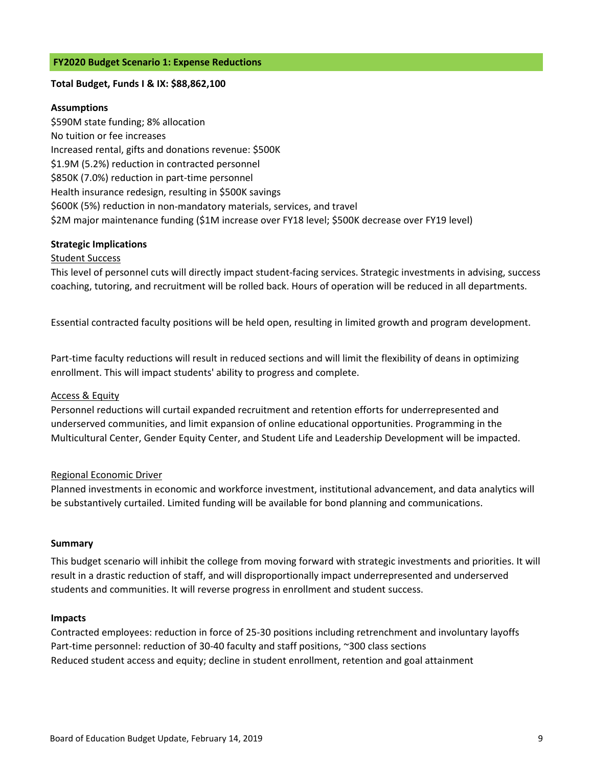#### **FY2020 Budget Scenario 1: Expense Reductions**

#### **Total Budget, Funds I & IX: \$88,862,100**

### **Assumptions**

\$590M state funding; 8% allocation No tuition or fee increases Increased rental, gifts and donations revenue: \$500K \$1.9M (5.2%) reduction in contracted personnel \$850K (7.0%) reduction in part‐time personnel Health insurance redesign, resulting in \$500K savings \$600K (5%) reduction in non‐mandatory materials, services, and travel \$2M major maintenance funding (\$1M increase over FY18 level; \$500K decrease over FY19 level)

### **Strategic Implications**

#### Student Success

This level of personnel cuts will directly impact student‐facing services. Strategic investments in advising, success coaching, tutoring, and recruitment will be rolled back. Hours of operation will be reduced in all departments.

Essential contracted faculty positions will be held open, resulting in limited growth and program development.

Part‐time faculty reductions will result in reduced sections and will limit the flexibility of deans in optimizing enrollment. This will impact students' ability to progress and complete.

#### Access & Equity

Personnel reductions will curtail expanded recruitment and retention efforts for underrepresented and underserved communities, and limit expansion of online educational opportunities. Programming in the Multicultural Center, Gender Equity Center, and Student Life and Leadership Development will be impacted.

#### Regional Economic Driver

Planned investments in economic and workforce investment, institutional advancement, and data analytics will be substantively curtailed. Limited funding will be available for bond planning and communications.

#### **Summary**

This budget scenario will inhibit the college from moving forward with strategic investments and priorities. It will result in a drastic reduction of staff, and will disproportionally impact underrepresented and underserved students and communities. It will reverse progress in enrollment and student success.

#### **Impacts**

Contracted employees: reduction in force of 25‐30 positions including retrenchment and involuntary layoffs Part-time personnel: reduction of 30-40 faculty and staff positions, ~300 class sections Reduced student access and equity; decline in student enrollment, retention and goal attainment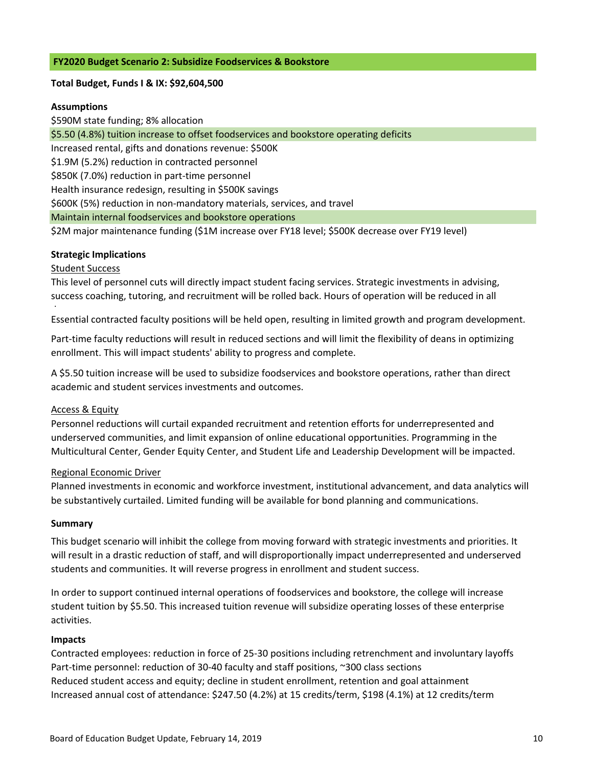### **FY2020 Budget Scenario 2: Subsidize Foodservices & Bookstore**

### **Total Budget, Funds I & IX: \$92,604,500**

### **Assumptions**

\$590M state funding; 8% allocation \$5.50 (4.8%) tuition increase to offset foodservices and bookstore operating deficits Increased rental, gifts and donations revenue: \$500K \$1.9M (5.2%) reduction in contracted personnel \$850K (7.0%) reduction in part‐time personnel Health insurance redesign, resulting in \$500K savings \$600K (5%) reduction in non‐mandatory materials, services, and travel Maintain internal foodservices and bookstore operations \$2M major maintenance funding (\$1M increase over FY18 level; \$500K decrease over FY19 level)

### **Strategic Implications**

### Student Success

This level of personnel cuts will directly impact student facing services. Strategic investments in advising, success coaching, tutoring, and recruitment will be rolled back. Hours of operation will be reduced in all

d Essential contracted faculty positions will be held open, resulting in limited growth and program development.

Part-time faculty reductions will result in reduced sections and will limit the flexibility of deans in optimizing enrollment. This will impact students' ability to progress and complete.

A \$5.50 tuition increase will be used to subsidize foodservices and bookstore operations, rather than direct academic and student services investments and outcomes.

### Access & Equity

Personnel reductions will curtail expanded recruitment and retention efforts for underrepresented and underserved communities, and limit expansion of online educational opportunities. Programming in the Multicultural Center, Gender Equity Center, and Student Life and Leadership Development will be impacted.

### Regional Economic Driver

Planned investments in economic and workforce investment, institutional advancement, and data analytics will be substantively curtailed. Limited funding will be available for bond planning and communications.

### **Summary**

This budget scenario will inhibit the college from moving forward with strategic investments and priorities. It will result in a drastic reduction of staff, and will disproportionally impact underrepresented and underserved students and communities. It will reverse progress in enrollment and student success.

In order to support continued internal operations of foodservices and bookstore, the college will increase student tuition by \$5.50. This increased tuition revenue will subsidize operating losses of these enterprise activities.

### **Impacts**

Contracted employees: reduction in force of 25‐30 positions including retrenchment and involuntary layoffs Part-time personnel: reduction of 30-40 faculty and staff positions, ~300 class sections Reduced student access and equity; decline in student enrollment, retention and goal attainment Increased annual cost of attendance: \$247.50 (4.2%) at 15 credits/term, \$198 (4.1%) at 12 credits/term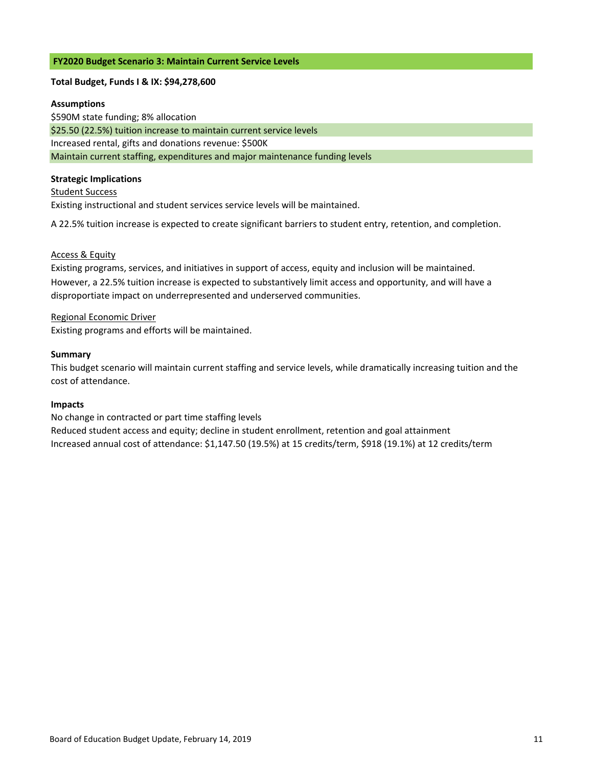#### **FY2020 Budget Scenario 3: Maintain Current Service Levels**

### **Total Budget, Funds I & IX: \$94,278,600**

#### **Assumptions**

\$590M state funding; 8% allocation \$25.50 (22.5%) tuition increase to maintain current service levels Increased rental, gifts and donations revenue: \$500K Maintain current staffing, expenditures and major maintenance funding levels

#### **Strategic Implications**

#### Student Success

Existing instructional and student services service levels will be maintained.

A 22.5% tuition increase is expected to create significant barriers to student entry, retention, and completion.

### Access & Equity

However, a 22.5% tuition increase is expected to substantively limit access and opportunity, and will have a disproportiate impact on underrepresented and underserved communities. Existing programs, services, and initiatives in support of access, equity and inclusion will be maintained.

#### Regional Economic Driver

Existing programs and efforts will be maintained.

#### **Summary**

This budget scenario will maintain current staffing and service levels, while dramatically increasing tuition and the cost of attendance.

### **Impacts**

#### No change in contracted or part time staffing levels

Reduced student access and equity; decline in student enrollment, retention and goal attainment Increased annual cost of attendance: \$1,147.50 (19.5%) at 15 credits/term, \$918 (19.1%) at 12 credits/term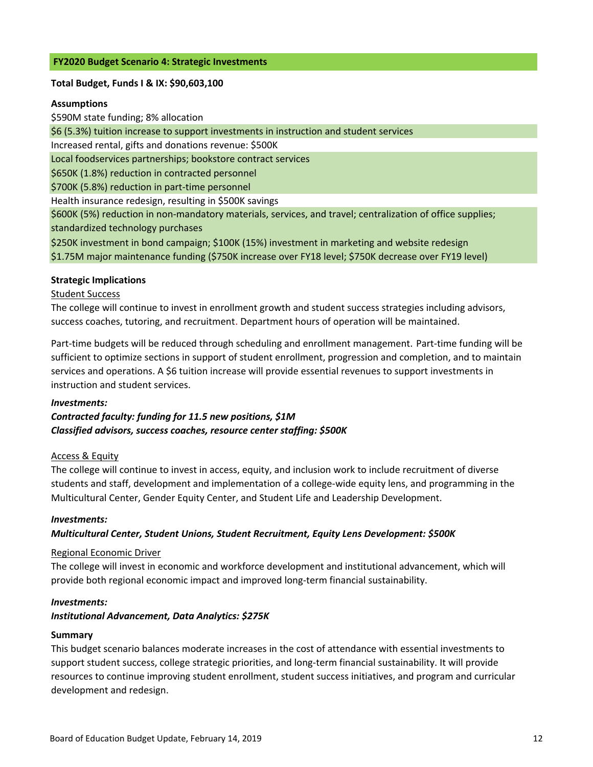### **FY2020 Budget Scenario 4: Strategic Investments**

### **Total Budget, Funds I & IX: \$90,603,100**

### **Assumptions**

\$590M state funding; 8% allocation \$6 (5.3%) tuition increase to support investments in instruction and student services Increased rental, gifts and donations revenue: \$500K Local foodservices partnerships; bookstore contract services \$650K (1.8%) reduction in contracted personnel \$700K (5.8%) reduction in part‐time personnel Health insurance redesign, resulting in \$500K savings \$250K investment in bond campaign; \$100K (15%) investment in marketing and website redesign \$600K (5%) reduction in non‐mandatory materials, services, and travel; centralization of office supplies; standardized technology purchases

\$1.75M major maintenance funding (\$750K increase over FY18 level; \$750K decrease over FY19 level)

### **Strategic Implications**

### Student Success

The college will continue to invest in enrollment growth and student success strategies including advisors, success coaches, tutoring, and recruitment. Department hours of operation will be maintained.

Part-time budgets will be reduced through scheduling and enrollment management. Part-time funding will be sufficient to optimize sections in support of student enrollment, progression and completion, and to maintain services and operations. A \$6 tuition increase will provide essential revenues to support investments in instruction and student services.

#### *Investments:*

*Contracted faculty: funding for 11.5 new positions, \$1M Classified advisors, success coaches, resource center staffing: \$500K*

### Access & Equity

The college will continue to invest in access, equity, and inclusion work to include recruitment of diverse students and staff, development and implementation of a college‐wide equity lens, and programming in the Multicultural Center, Gender Equity Center, and Student Life and Leadership Development.

#### *Investments:*

### *Multicultural Center, Student Unions, Student Recruitment, Equity Lens Development: \$500K*

### Regional Economic Driver

The college will invest in economic and workforce development and institutional advancement, which will provide both regional economic impact and improved long-term financial sustainability.

### *Investments:*

### *Institutional Advancement, Data Analytics: \$275K*

#### **Summary**

This budget scenario balances moderate increases in the cost of attendance with essential investments to support student success, college strategic priorities, and long-term financial sustainability. It will provide resources to continue improving student enrollment, student success initiatives, and program and curricular development and redesign.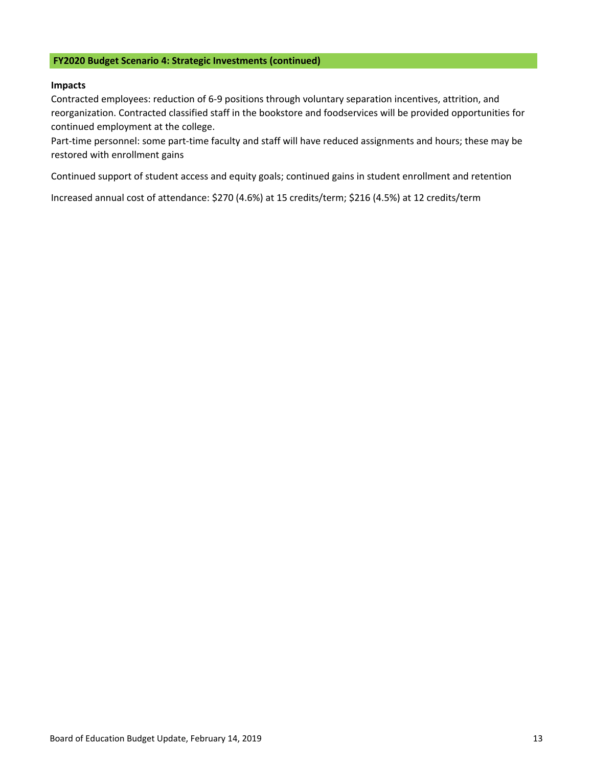### **FY2020 Budget Scenario 4: Strategic Investments (continued)**

### **Impacts**

Contracted employees: reduction of 6‐9 positions through voluntary separation incentives, attrition, and reorganization. Contracted classified staff in the bookstore and foodservices will be provided opportunities for continued employment at the college.

Part-time personnel: some part-time faculty and staff will have reduced assignments and hours; these may be restored with enrollment gains

Continued support of student access and equity goals; continued gains in student enrollment and retention

Increased annual cost of attendance: \$270 (4.6%) at 15 credits/term; \$216 (4.5%) at 12 credits/term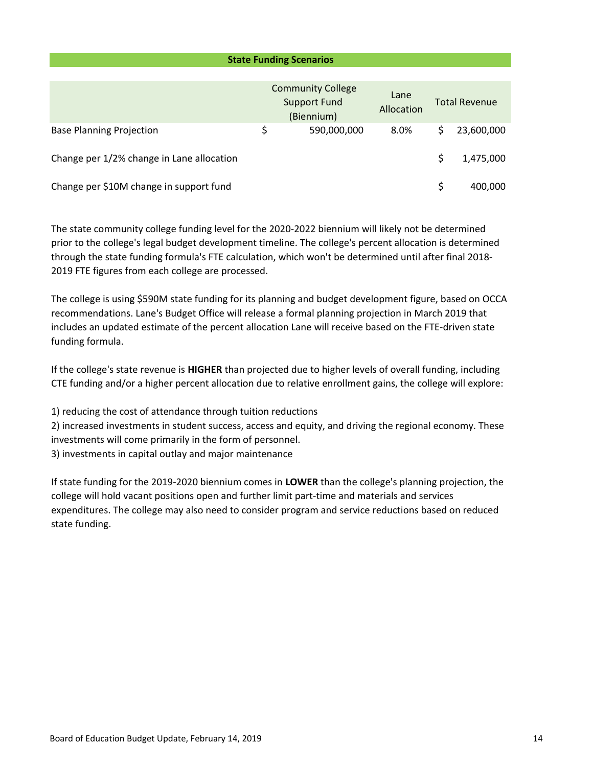### **State Funding Scenarios**

|                                           |    | <b>Community College</b><br><b>Support Fund</b><br>(Biennium) | Lane<br>Allocation | <b>Total Revenue</b> |            |  |
|-------------------------------------------|----|---------------------------------------------------------------|--------------------|----------------------|------------|--|
| <b>Base Planning Projection</b>           | \$ | 590,000,000                                                   | 8.0%               |                      | 23,600,000 |  |
| Change per 1/2% change in Lane allocation |    |                                                               |                    |                      | 1,475,000  |  |
| Change per \$10M change in support fund   |    |                                                               |                    | Ś                    | 400.000    |  |

The state community college funding level for the 2020‐2022 biennium will likely not be determined prior to the college's legal budget development timeline. The college's percent allocation is determined through the state funding formula's FTE calculation, which won't be determined until after final 2018‐ 2019 FTE figures from each college are processed.

The college is using \$590M state funding for its planning and budget development figure, based on OCCA recommendations. Lane's Budget Office will release a formal planning projection in March 2019 that includes an updated estimate of the percent allocation Lane will receive based on the FTE‐driven state funding formula.

If the college's state revenue is **HIGHER** than projected due to higher levels of overall funding, including CTE funding and/or a higher percent allocation due to relative enrollment gains, the college will explore:

1) reducing the cost of attendance through tuition reductions

2) increased investments in student success, access and equity, and driving the regional economy. These investments will come primarily in the form of personnel.

3) investments in capital outlay and major maintenance

If state funding for the 2019‐2020 biennium comes in **LOWER** than the college's planning projection, the college will hold vacant positions open and further limit part‐time and materials and services expenditures. The college may also need to consider program and service reductions based on reduced state funding.